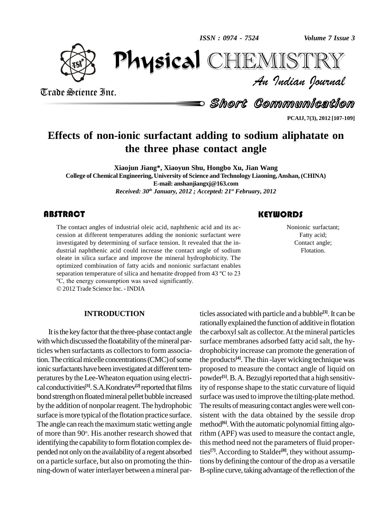physical distribution of the street of the street of the street of the street of the street of the street of t<br>Physical distribution of the street of the street of the street of the street of the street of the street of t<br> *ISSN : 0974 - 7524*

CHIEMISTRY



Trade Science Inc. Trade Science Inc.

Short Communication

**PCAIJ, 7(3), 2012 [107-109]**

# **Effects of non-ionic surfactant adding to sodium aliphatate on the three phase contact angle**

**Xiaojun Jiang\*, Xiaoyun Shu, Hongbo Xu,Jian Wang College of Chemical Engineering, University of Science andTechnology Liaoning,Anshan, (CHINA) E-mail: [anshanjiangxj@163.com](mailto:anshanjiangjx@163.com)** *Received: 30 th January, 2012 ; Accepted: 21 st February, 2012*

### **ABSTRACT**

The contact angles of industrial oleic acid, naphthenic acid and its accession at different temperatures adding the nonionic surfactant were investigated by determining of surface tension. It revealed that the in-The contact angles of industrial oleic acid, naphthenic acid and its ac cession at different temperatures adding the nonionic surfactant were dustrial naphthenic acid could increase the contact angle of sodium oleate in silica surface and improve the mineral hydrophobicity. The optimized combination of fatty acids and nonionic surfactant enables oleate in silica surface and improve the mineral hydrophobicity. The optimized combination of fatty acids and nonionic surfactant enables separation temperature of silica and hematite dropped from 43 °C to 23 optimized combination of fatty acids and nonionic surfase<br>paration temperature of silica and hematite dropped fro<br>°C, the energy consumption was saved significantly.

2012Trade Science Inc. - INDIA

#### **INTRODUCTION**

It is the key factor that the three-phase contact angle with which discussed the floatability of the mineral particles when surfactants as collectors to form association. The critical micelle concentrations (CMC) of some ionic surfactants have been investigated at different temperatures by the Lee-Wheaton equation using electri cal conductivities<sup>[1]</sup>. S.A.Kondratev<sup>[2]</sup> reported that films ity or bond strength on floated mineral pellet bubble increased by the addition of nonpolar reagent. The hydrophobic surface is more typical of the flotation practice surface. The angle can reach the maximum static wetting angle of more than 90°. His another research showed that ritl identifying the capability to form flotation complex depended not onlyon the availabilityof a regent absorbed on a particle surface, but also on promoting the thin ning-down of water interlayer between a mineral par-

# **KEYWORDS**

Nonionic surfactant;<br>Fatty acid;<br>Contact angle; Nonionic surfactant; Fatty acid; Flotation.

ticles associated with particle and a bubble **[3]**.It can be rationallyexplained the function of additive in flotation the carboxylsalt as collector.At the mineral particles surface membranes adsorbed fatty acid salt, the hydrophobicity increase can promote the generation of the products **[4]**. The thin -layer wicking technique was proposed to measure the contact angle of liquid on powder<sup>[5]</sup>. B. A. Bezuglyi reported that a high sensitivity of response shape to the static curvature of liquid surface was used to improve the tilting-plate method. The results of measuring contact angles were well consistent with the data obtained by the sessile drop method<sup>[6]</sup>. With the automatic polynomial fitting algorithm (APF) was used to measure the contact angle, this method need not the parameters of fluid properties **[7]**.According to Stalder **[8]**, they without assumptions by defining the contour of the drop as a versatile B-spline curve, taking advantage of the reflection of the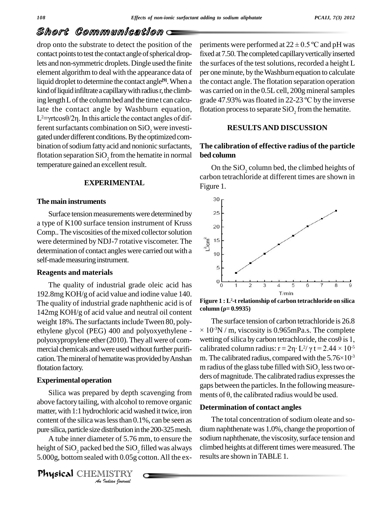# Short Communication

drop onto the substrate to detect the position of the contact points to test the contact angle of spherical droplets and non-symmetric droplets.Dingle used the finite element algorithm to deal with the appearance data of liquid droplet to determine the contact angle<sup>[9]</sup>. When a the co kind of liquid infiltrate a capillary with radius r, the climbing length L of the column bed and the time t can calcu-<br>grade 47.93% was floated in 22-23 °C by the inverse late the contact angle by Washburn equation, ing length L of the column bed and the time t can calculate the contact angle by Washburn equation,  $L^2$ = $\gamma$ rtcos $\theta/2\eta$ . In this article the contact angles of different surfactants combination on  $SiO<sub>2</sub>$  were investigated under different conditions. By the optimized combination of sodium fatty acid and nonionic surfactants, flotation separation  $SiO<sub>2</sub>$  from the hematite in normal temperature gained an excellent result.

### **EXPERIMENTAL**

#### **The main instruments**

Surface tension measurements were determined by 25 a type of K100 surface tension instrument of Kruss  $_{20}$ Comp.. The viscosities of the mixed collector solution<br>were determined by NDJ-7 rotative viscometer. The<br>determination of contact angles were carried out with a were determined by NDJ-7 rotative viscometer. The  $\frac{1}{5}$  15 determination of contact angles were carried out with a  $\frac{1}{10}$ self-made measuring instrument.

### **Reagents and materials**

The quality of industrial grade oleic acid has 192.8mg KOH/g of acid value and iodine value 140. The quality of industrial grade naphthenic acid is of 142mg KOH/g of acid value and neutral oil content weight 18%. The surfactants include Tween 80, polyethylene glycol (PEG) 400 and polyoxyethylene polyoxypropylene ether (2010). They all were of commercial chemicals and were used without further purification. The mineral of hematite was provided by Anshan flotation factory.

### **Experimental operation**

pure silica, particle size distribution in the 200-325 mesh. di Silica was prepared by depth scavenging from  $\frac{m}{m}$  ments of  $\theta$ , the calibrated radius would be used. above factory tailing, with alcohol to remove organic matter, with 1:1 hydrochloric acid washed it twice, iron content of the silica was less than  $0.1\%$ , can be seen as

*Instribution* in<br>
eter of 5.76 *I*<br>
bed the SiO<sub>2</sub><br>
with 0.05g c<br> **IISTRY** A tube inner diameter of 5.76 mm, to ensure the height of  $\text{SiO}_2$  packed bed the  $\text{SiO}_2$  filled was always clim 5.000g, bottom sealed with 0.05g cotton.All the ex-

periments were performed at  $22 \pm 0.5$  °C and pH was fixed at 7.50. The completed capillary vertically inserted the surfaces of the test solutions, recorded a height L per one minute, by the Washburn equation to calculate the contact angle. The flotation separation operation<br>was carried on in the 0.5L cell, 200g mineral samples<br>grade 47.93% was floated in 22-23 °C by the inverse was carried on in the 0.5L cell, 200g mineral samples flotation process to separate  $SiO<sub>2</sub>$  from the hematite.

### **RESULTSAND DISCUSSION**

## **The calibration of effective radius of the particle bed column**

On the  $SiO<sub>2</sub>$  column bed, the climbed heights of carbon tetrachloride at different times are shown in Figure 1.



**Figure 1 : L <sup>2</sup>-t relationship of carbon tetrachloride on silica column (Ò<sup>=</sup> 0.9935)** column ( $\rho$ = 0.9935)

The surface tension of carbon tetrachloride is 26.8 Framit ( $p = 0.9935$ )<br>The surface tension of carbon tetrachloride is 26.8<br> $10^{-3}$ N / m, viscosity is 0.965mPa.s. The complete The surface tension of carbon tetrachloride is 26.8<br>× 10<sup>-3</sup>N / m, viscosity is 0.965mPa.s. The complete<br>wetting of silica by carbon tetrachloride, the cos $\theta$  is 1,  $\times$  10<sup>-3</sup>N / m, viscosity is 0.965mPa.s. The convetting of silica by carbon tetrachloride, the cos<br>calibrated column radius:  $r = 2η· L<sup>2</sup>/γ t = 2.44$ i.s. The complete<br>ride, the cos $\theta$  is 1,<br> $\frac{2}{\gamma} \gamma$  t = 2.44  $\times$  10<sup>-5</sup> wetting of silica by carbon tetrachloride, the cos $\theta$  is 1,<br>calibrated column radius:  $r = 2\eta \cdot L^2/\gamma t = 2.44 \times 10^{-5}$ <br>m. The calibrated radius, compared with the 5.76×10<sup>-3</sup> m radius of the glass tube filled with  $\mathrm{SiO}_2$  less two orders of magnitude. The calibrated radius expresses the<br>gaps between the particles. In the following measure-<br>ments of  $\theta$ , the calibrated radius would be used. gaps between the particles.In the following measure-

#### **Determination of contact angles**

The total concentration of sodium oleate and sodiumnaphthenatewas 1.0%, change the proportion of sodium naphthenate, the viscosity, surface tension and climbed heights at different times were measured. The results are shown inTABLE 1.